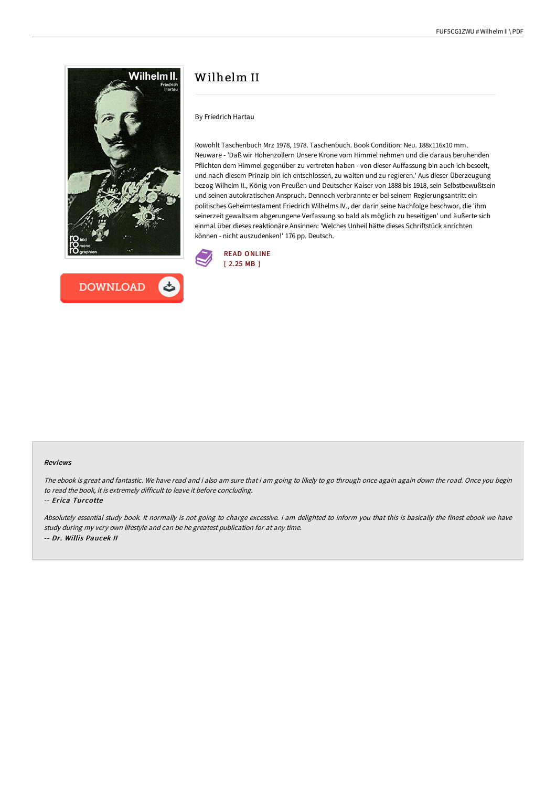



# Wilhelm II

By Friedrich Hartau

Rowohlt Taschenbuch Mrz 1978, 1978. Taschenbuch. Book Condition: Neu. 188x116x10 mm. Neuware - 'Daß wir Hohenzollern Unsere Krone vom Himmel nehmen und die daraus beruhenden Pflichten dem Himmel gegenüber zu vertreten haben - von dieser Auffassung bin auch ich beseelt, und nach diesem Prinzip bin ich entschlossen, zu walten und zu regieren.' Aus dieser Überzeugung bezog Wilhelm II., König von Preußen und Deutscher Kaiser von 1888 bis 1918, sein Selbstbewußtsein und seinen autokratischen Anspruch. Dennoch verbrannte er bei seinem Regierungsantritt ein politisches Geheimtestament Friedrich Wilhelms IV., der darin seine Nachfolge beschwor, die 'ihm seinerzeit gewaltsam abgerungene Verfassung so bald als möglich zu beseitigen' und äußerte sich einmal über dieses reaktionäre Ansinnen: 'Welches Unheil hätte dieses Schriftstück anrichten können - nicht auszudenken!' 176 pp. Deutsch.



#### Reviews

The ebook is great and fantastic. We have read and i also am sure that i am going to likely to go through once again again down the road. Once you begin to read the book, it is extremely difficult to leave it before concluding.

-- Erica Turcotte

Absolutely essential study book. It normally is not going to charge excessive. <sup>I</sup> am delighted to inform you that this is basically the finest ebook we have study during my very own lifestyle and can be he greatest publication for at any time. -- Dr. Willis Paucek II